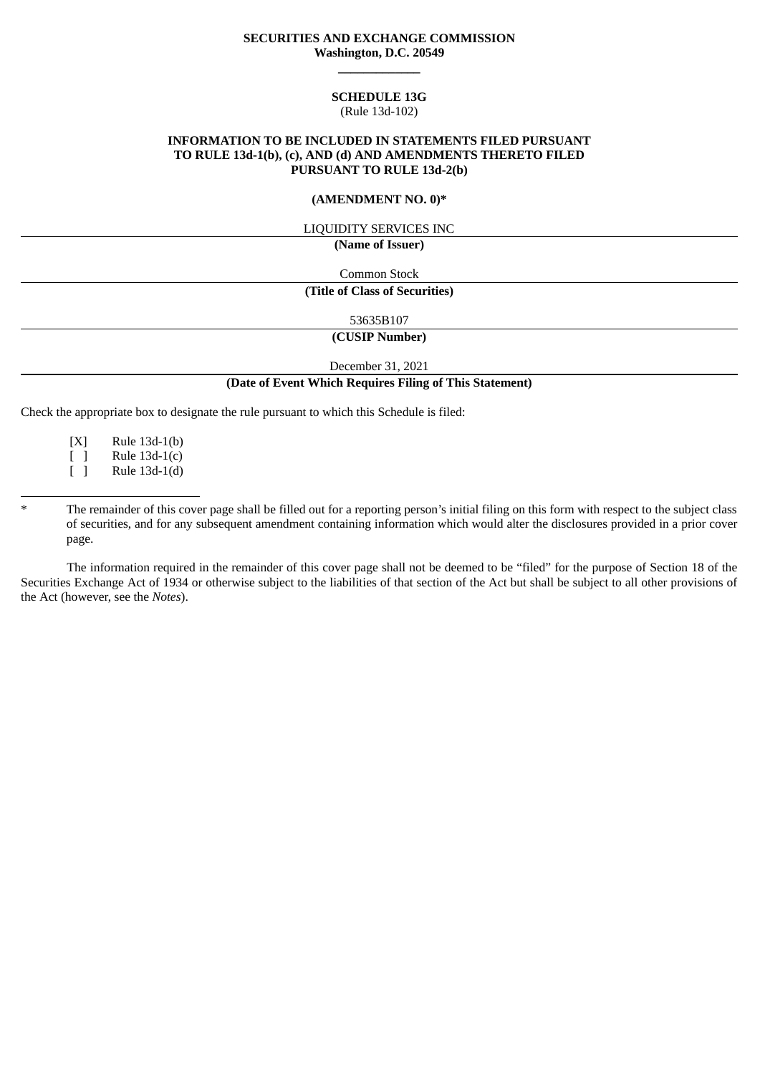## **SECURITIES AND EXCHANGE COMMISSION Washington, D.C. 20549 \_\_\_\_\_\_\_\_\_\_\_\_\_**

#### **SCHEDULE 13G** (Rule 13d-102)

## **INFORMATION TO BE INCLUDED IN STATEMENTS FILED PURSUANT TO RULE 13d-1(b), (c), AND (d) AND AMENDMENTS THERETO FILED PURSUANT TO RULE 13d-2(b)**

#### **(AMENDMENT NO. 0)\***

#### LIQUIDITY SERVICES INC

**(Name of Issuer)**

Common Stock

#### **(Title of Class of Securities)**

53635B107

**(CUSIP Number)**

December 31, 2021

#### **(Date of Event Which Requires Filing of This Statement)**

Check the appropriate box to designate the rule pursuant to which this Schedule is filed:

[X] Rule 13d-1(b) [ ] Rule 13d-1(c) [ ] Rule 13d-1(d)

The remainder of this cover page shall be filled out for a reporting person's initial filing on this form with respect to the subject class of securities, and for any subsequent amendment containing information which would alter the disclosures provided in a prior cover page.

The information required in the remainder of this cover page shall not be deemed to be "filed" for the purpose of Section 18 of the Securities Exchange Act of 1934 or otherwise subject to the liabilities of that section of the Act but shall be subject to all other provisions of the Act (however, see the *Notes*).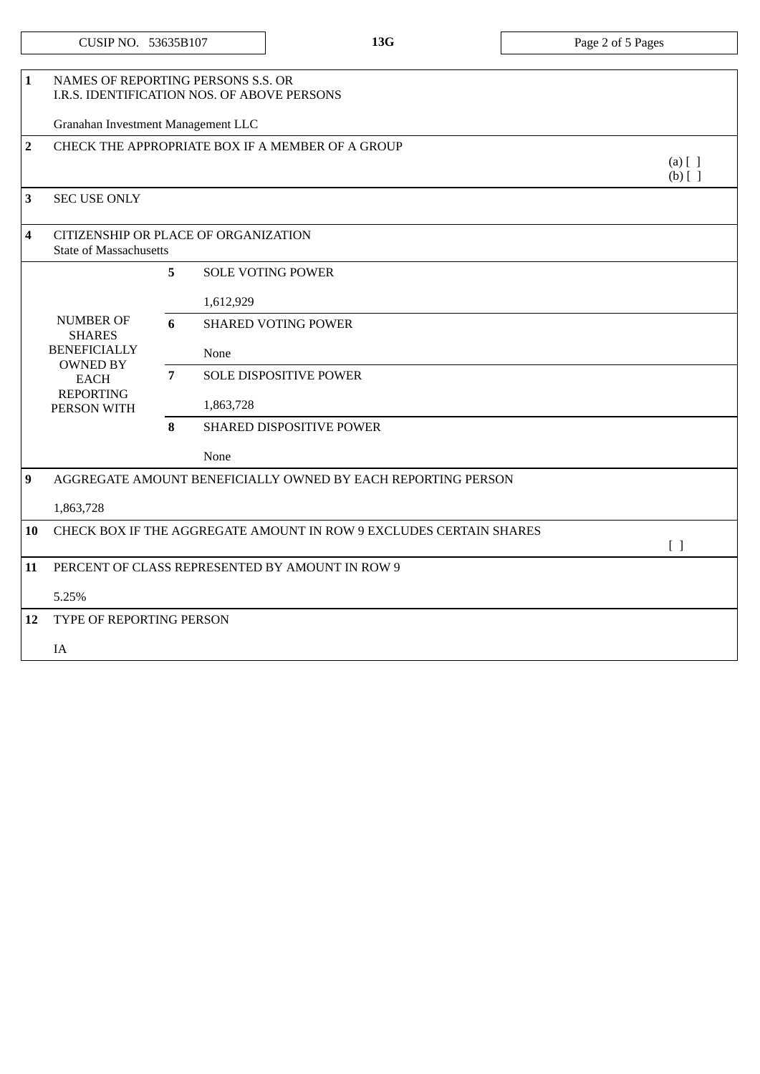| CUSIP NO. | 53635B107 |
|-----------|-----------|
|-----------|-----------|

| 1                | NAMES OF REPORTING PERSONS S.S. OR<br>I.R.S. IDENTIFICATION NOS. OF ABOVE PERSONS                                             |                |                                                                    |                            |  |  |
|------------------|-------------------------------------------------------------------------------------------------------------------------------|----------------|--------------------------------------------------------------------|----------------------------|--|--|
|                  | Granahan Investment Management LLC                                                                                            |                |                                                                    |                            |  |  |
| $\overline{2}$   |                                                                                                                               |                | CHECK THE APPROPRIATE BOX IF A MEMBER OF A GROUP                   | $(a)$ $[$ $]$<br>$(b)$ [ ] |  |  |
| 3                | <b>SEC USE ONLY</b>                                                                                                           |                |                                                                    |                            |  |  |
| 4                | CITIZENSHIP OR PLACE OF ORGANIZATION<br><b>State of Massachusetts</b>                                                         |                |                                                                    |                            |  |  |
|                  |                                                                                                                               | 5              | <b>SOLE VOTING POWER</b>                                           |                            |  |  |
|                  | <b>NUMBER OF</b><br><b>SHARES</b><br><b>BENEFICIALLY</b><br><b>OWNED BY</b><br><b>EACH</b><br><b>REPORTING</b><br>PERSON WITH |                | 1,612,929                                                          |                            |  |  |
|                  |                                                                                                                               | 6              | <b>SHARED VOTING POWER</b>                                         |                            |  |  |
|                  |                                                                                                                               |                | None                                                               |                            |  |  |
|                  |                                                                                                                               | $\overline{7}$ | <b>SOLE DISPOSITIVE POWER</b>                                      |                            |  |  |
|                  |                                                                                                                               |                | 1,863,728                                                          |                            |  |  |
|                  |                                                                                                                               | 8              | SHARED DISPOSITIVE POWER                                           |                            |  |  |
|                  |                                                                                                                               |                | None                                                               |                            |  |  |
| $\boldsymbol{9}$ |                                                                                                                               |                | AGGREGATE AMOUNT BENEFICIALLY OWNED BY EACH REPORTING PERSON       |                            |  |  |
|                  | 1,863,728                                                                                                                     |                |                                                                    |                            |  |  |
| 10               |                                                                                                                               |                | CHECK BOX IF THE AGGREGATE AMOUNT IN ROW 9 EXCLUDES CERTAIN SHARES | $\lceil \rceil$            |  |  |
| 11               |                                                                                                                               |                | PERCENT OF CLASS REPRESENTED BY AMOUNT IN ROW 9                    |                            |  |  |
|                  | 5.25%                                                                                                                         |                |                                                                    |                            |  |  |
| 12               | TYPE OF REPORTING PERSON                                                                                                      |                |                                                                    |                            |  |  |
|                  | IA                                                                                                                            |                |                                                                    |                            |  |  |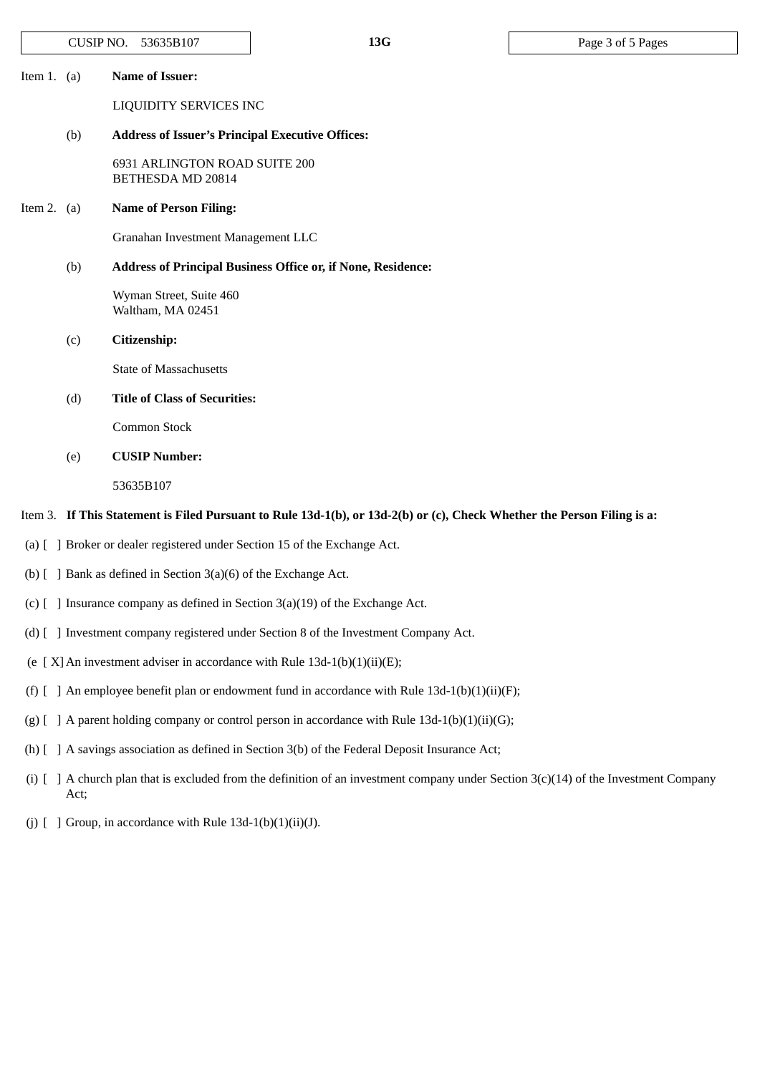|                                                                | CUSIP NO.                                                                                                                                           | 53635B107                                          | 13G                                                                                                                                       | Page 3 of 5 Pages |  |  |
|----------------------------------------------------------------|-----------------------------------------------------------------------------------------------------------------------------------------------------|----------------------------------------------------|-------------------------------------------------------------------------------------------------------------------------------------------|-------------------|--|--|
| Item 1. $(a)$                                                  |                                                                                                                                                     | <b>Name of Issuer:</b>                             |                                                                                                                                           |                   |  |  |
|                                                                |                                                                                                                                                     | LIQUIDITY SERVICES INC                             |                                                                                                                                           |                   |  |  |
| (b)<br><b>Address of Issuer's Principal Executive Offices:</b> |                                                                                                                                                     |                                                    |                                                                                                                                           |                   |  |  |
|                                                                |                                                                                                                                                     | 6931 ARLINGTON ROAD SUITE 200<br>BETHESDA MD 20814 |                                                                                                                                           |                   |  |  |
| Item 2. $(a)$                                                  |                                                                                                                                                     | <b>Name of Person Filing:</b>                      |                                                                                                                                           |                   |  |  |
|                                                                |                                                                                                                                                     | Granahan Investment Management LLC                 |                                                                                                                                           |                   |  |  |
|                                                                | (b)                                                                                                                                                 |                                                    | Address of Principal Business Office or, if None, Residence:                                                                              |                   |  |  |
|                                                                |                                                                                                                                                     | Wyman Street, Suite 460<br>Waltham, MA 02451       |                                                                                                                                           |                   |  |  |
|                                                                | (c)                                                                                                                                                 | Citizenship:                                       |                                                                                                                                           |                   |  |  |
|                                                                |                                                                                                                                                     | <b>State of Massachusetts</b>                      |                                                                                                                                           |                   |  |  |
|                                                                | (d)                                                                                                                                                 | <b>Title of Class of Securities:</b>               |                                                                                                                                           |                   |  |  |
|                                                                |                                                                                                                                                     | Common Stock                                       |                                                                                                                                           |                   |  |  |
|                                                                | (e)                                                                                                                                                 | <b>CUSIP Number:</b>                               |                                                                                                                                           |                   |  |  |
|                                                                |                                                                                                                                                     | 53635B107                                          |                                                                                                                                           |                   |  |  |
|                                                                |                                                                                                                                                     |                                                    | Item 3. If This Statement is Filed Pursuant to Rule 13d-1(b), or 13d-2(b) or (c), Check Whether the Person Filing is a:                   |                   |  |  |
|                                                                |                                                                                                                                                     |                                                    | (a) [ ] Broker or dealer registered under Section 15 of the Exchange Act.                                                                 |                   |  |  |
|                                                                | (b) $[$ ] Bank as defined in Section 3(a)(6) of the Exchange Act.                                                                                   |                                                    |                                                                                                                                           |                   |  |  |
|                                                                | (c) $\lceil$ 1 Insurance company as defined in Section 3(a)(19) of the Exchange Act.                                                                |                                                    |                                                                                                                                           |                   |  |  |
|                                                                |                                                                                                                                                     |                                                    | (d) [ ] Investment company registered under Section 8 of the Investment Company Act.                                                      |                   |  |  |
|                                                                |                                                                                                                                                     |                                                    | (e [ $X$ ] An investment adviser in accordance with Rule 13d-1(b)(1)(ii)(E);                                                              |                   |  |  |
|                                                                |                                                                                                                                                     |                                                    | (f) $\left[ \begin{array}{cc} \end{array} \right]$ An employee benefit plan or endowment fund in accordance with Rule 13d-1(b)(1)(ii)(F); |                   |  |  |
|                                                                |                                                                                                                                                     |                                                    | (g) [ ] A parent holding company or control person in accordance with Rule 13d-1(b)(1)(ii)(G);                                            |                   |  |  |
|                                                                |                                                                                                                                                     |                                                    | (h) [ ] A savings association as defined in Section 3(b) of the Federal Deposit Insurance Act;                                            |                   |  |  |
|                                                                | (i) $\lceil$ ] A church plan that is excluded from the definition of an investment company under Section 3(c)(14) of the Investment Company<br>Act; |                                                    |                                                                                                                                           |                   |  |  |
| $(j)$ [ ]                                                      | Group, in accordance with Rule 13d-1(b)(1)(ii)(J).                                                                                                  |                                                    |                                                                                                                                           |                   |  |  |
|                                                                |                                                                                                                                                     |                                                    |                                                                                                                                           |                   |  |  |
|                                                                |                                                                                                                                                     |                                                    |                                                                                                                                           |                   |  |  |
|                                                                |                                                                                                                                                     |                                                    |                                                                                                                                           |                   |  |  |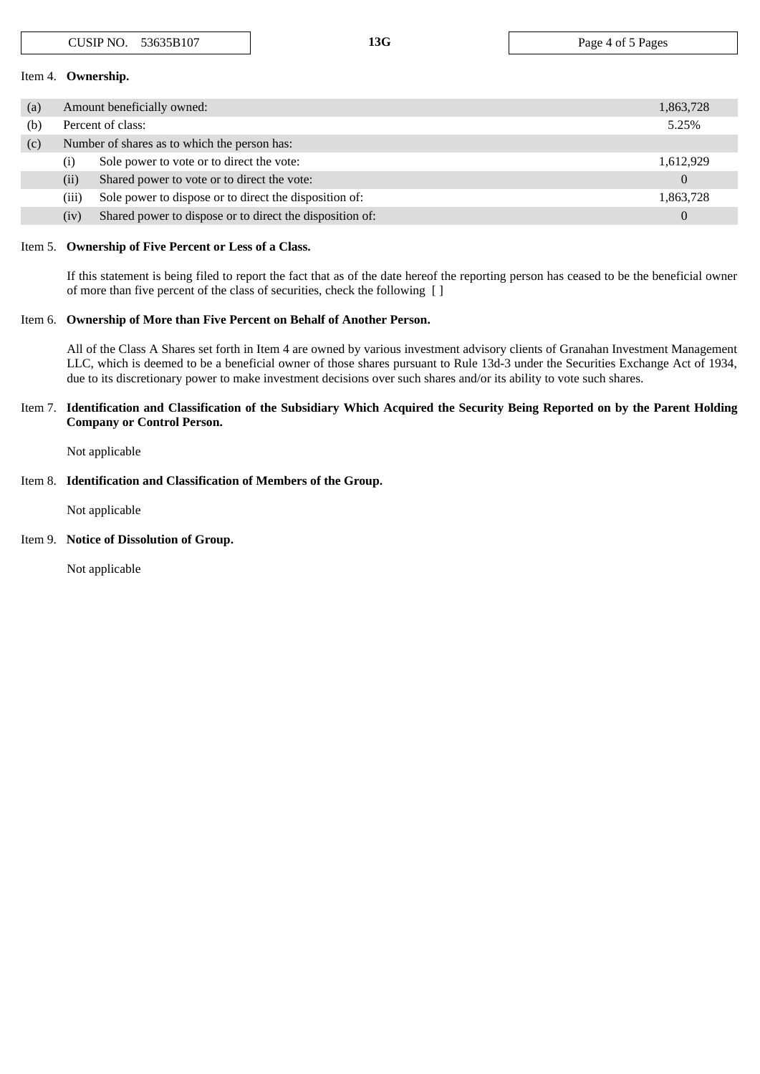| Item 4. Ownership. |                                              |                                                          |                |  |  |
|--------------------|----------------------------------------------|----------------------------------------------------------|----------------|--|--|
| (a)                |                                              | Amount beneficially owned:                               | 1,863,728      |  |  |
| (b)                |                                              | Percent of class:                                        | 5.25%          |  |  |
| (c)                | Number of shares as to which the person has: |                                                          |                |  |  |
|                    | (i)                                          | Sole power to vote or to direct the vote:                | 1,612,929      |  |  |
|                    | (ii)                                         | Shared power to vote or to direct the vote:              | $\overline{0}$ |  |  |
|                    | (iii)                                        | Sole power to dispose or to direct the disposition of:   | 1,863,728      |  |  |
|                    | (iv)                                         | Shared power to dispose or to direct the disposition of: | $\Omega$       |  |  |

#### Item 5. **Ownership of Five Percent or Less of a Class.**

If this statement is being filed to report the fact that as of the date hereof the reporting person has ceased to be the beneficial owner of more than five percent of the class of securities, check the following [ ]

## Item 6. **Ownership of More than Five Percent on Behalf of Another Person.**

All of the Class A Shares set forth in Item 4 are owned by various investment advisory clients of Granahan Investment Management LLC, which is deemed to be a beneficial owner of those shares pursuant to Rule 13d-3 under the Securities Exchange Act of 1934, due to its discretionary power to make investment decisions over such shares and/or its ability to vote such shares.

## Item 7. Identification and Classification of the Subsidiary Which Acquired the Security Being Reported on by the Parent Holding **Company or Control Person.**

Not applicable

# Item 8. **Identification and Classification of Members of the Group.**

Not applicable

## Item 9. **Notice of Dissolution of Group.**

Not applicable

CUSIP NO. 53635B107 **13G** Page 4 of 5 Pages